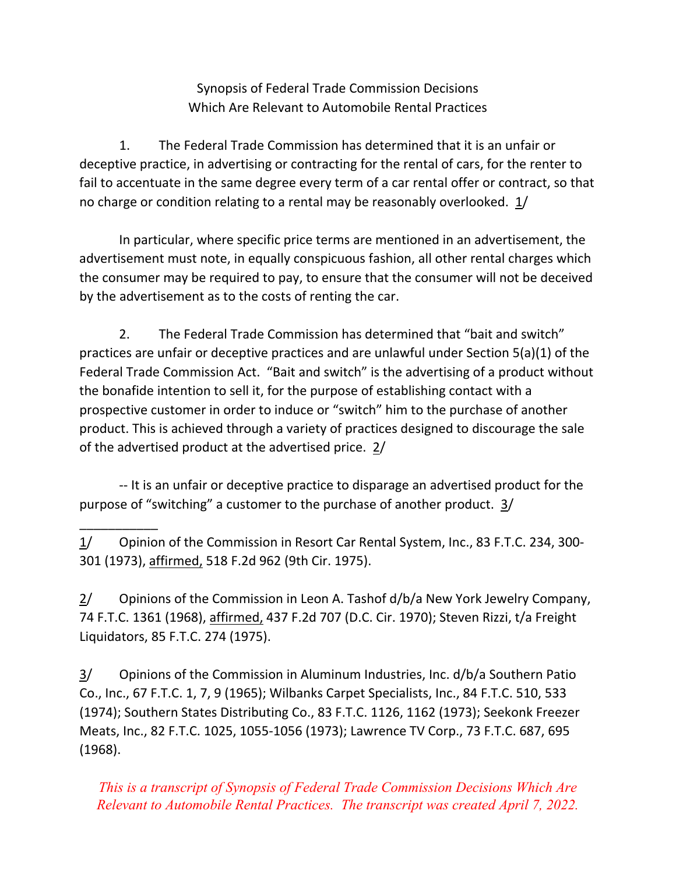Synopsis of Federal Trade Commission Decisions Which Are Relevant to Automobile Rental Practices

 1. The Federal Trade Commission has determined that it is an unfair or deceptive practice, in advertising or contracting for the rental of cars, for the renter to fail to accentuate in the same degree every term of a car rental offer or contract, so that no charge or condition relating to a rental may be reasonably overlooked.  $1/$ 

 In particular, where specific price terms are mentioned in an advertisement, the advertisement must note, in equally conspicuous fashion, all other rental charges which the consumer may be required to pay, to ensure that the consumer will not be deceived by the advertisement as to the costs of renting the car.

 2. The Federal Trade Commission has determined that "bait and switch" practices are unfair or deceptive practices and are unlawful under Section 5(a)(1) of the Federal Trade Commission Act. "Bait and switch" is the advertising of a product without the bonafide intention to sell it, for the purpose of establishing contact with a prospective customer in order to induce or "switch" him to the purchase of another product. This is achieved through a variety of practices designed to discourage the sale of the advertised product at the advertised price.  $2/$ 

 ‐‐ It is an unfair or deceptive practice to disparage an advertised product for the purpose of "switching" a customer to the purchase of another product. 3/

1/ Opinion of the Commission in Resort Car Rental System, Inc., 83 F.T.C. 234, 300-301 (1973), affirmed, 518 F.2d 962 (9th Cir. 1975).

\_\_\_\_\_\_\_\_\_\_\_

 $2/$  Opinions of the Commission in Leon A. Tashof d/b/a New York Jewelry Company, 74 F.T.C. 1361 (1968), affirmed, 437 F.2d 707 (D.C. Cir. 1970); Steven Rizzi, t/a Freight Liquidators, 85 F.T.C. 274 (1975).

3/ Opinions of the Commission in Aluminum Industries, Inc. d/b/a Southern Patio Co., Inc., 67 F.T.C. 1, 7, 9 (1965); Wilbanks Carpet Specialists, Inc., 84 F.T.C. 510, 533 (1974); Southern States Distributing Co., 83 F.T.C. 1126, 1162 (1973); Seekonk Freezer Meats, Inc., 82 F.T.C. 1025, 1055‐1056 (1973); Lawrence TV Corp., 73 F.T.C. 687, 695 (1968).

*This is a transcript of Synopsis of Federal Trade Commission Decisions Which Are Relevant to Automobile Rental Practices. The transcript was created April 7, 2022.*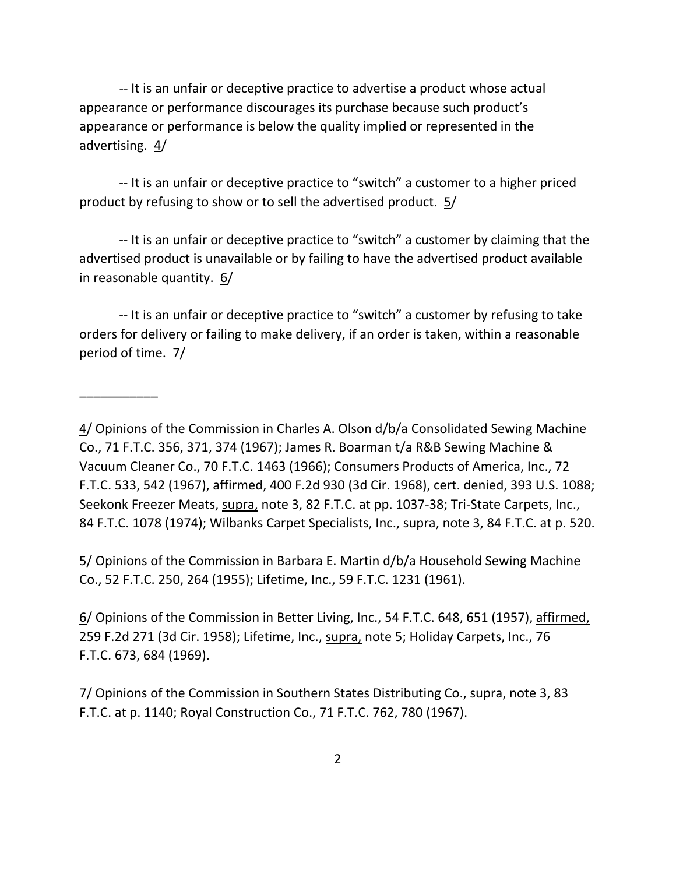‐‐ It is an unfair or deceptive practice to advertise a product whose actual appearance or performance discourages its purchase because such product's appearance or performance is below the quality implied or represented in the advertising. 4/

 ‐‐ It is an unfair or deceptive practice to "switch" a customer to a higher priced product by refusing to show or to sell the advertised product. 5/

 ‐‐ It is an unfair or deceptive practice to "switch" a customer by claiming that the advertised product is unavailable or by failing to have the advertised product available in reasonable quantity. 6/

 ‐‐ It is an unfair or deceptive practice to "switch" a customer by refusing to take orders for delivery or failing to make delivery, if an order is taken, within a reasonable period of time. 7/

\_\_\_\_\_\_\_\_\_\_\_

 5/ Opinions of the Commission in Barbara E. Martin d/b/a Household Sewing Machine Co., 52 F.T.C. 250, 264 (1955); Lifetime, Inc., 59 F.T.C. 1231 (1961).

6/ Opinions of the Commission in Better Living, Inc., 54 F.T.C. 648, 651 (1957), affirmed, 259 F.2d 271 (3d Cir. 1958); Lifetime, Inc., supra, note 5; Holiday Carpets, Inc., 76 F.T.C. 673, 684 (1969).

7/ Opinions of the Commission in Southern States Distributing Co., supra, note 3, 83 F.T.C. at p. 1140; Royal Construction Co., 71 F.T.C. 762, 780 (1967).

<sup>4/</sup> Opinions of the Commission in Charles A. Olson d/b/a Consolidated Sewing Machine Co., 71 F.T.C. 356, 371, 374 (1967); James R. Boarman t/a R&B Sewing Machine & Vacuum Cleaner Co., 70 F.T.C. 1463 (1966); Consumers Products of America, Inc., 72 F.T.C. 533, 542 (1967), affirmed, 400 F.2d 930 (3d Cir. 1968), <u>cert. denied,</u> 393 U.S. 1088; Seekonk Freezer Meats, supra, note 3, 82 F.T.C. at pp. 1037-38; Tri-State Carpets, Inc., 84 F.T.C. 1078 (1974); Wilbanks Carpet Specialists, Inc., supra, note 3, 84 F.T.C. at p. 520.